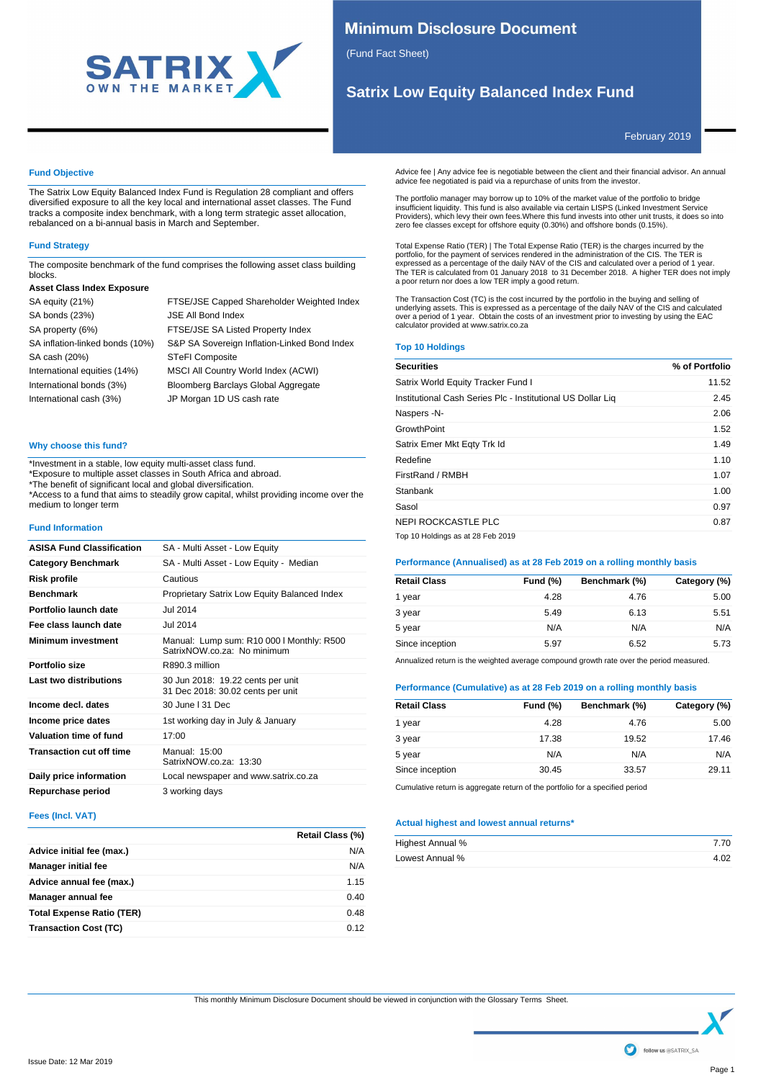

# **Minimum Disclosure Document**

(Fund Fact Sheet)

# **Satrix Low Equity Balanced Index Fund**

February 2019

# **Fund Objective**

The Satrix Low Equity Balanced Index Fund is Regulation 28 compliant and offers diversified exposure to all the key local and international asset classes. The Fund tracks a composite index benchmark, with a long term strategic asset allocation, rebalanced on a bi-annual basis in March and September.

# **Fund Strategy**

The composite benchmark of the fund comprises the following asset class building blocks.

# **Asset Class Index Exposure**

| SA equity (21%)                 | FTSE/JSE Capped Shareholder Weighted Index   |
|---------------------------------|----------------------------------------------|
| SA bonds (23%)                  | <b>JSE All Bond Index</b>                    |
| SA property (6%)                | FTSE/JSE SA Listed Property Index            |
| SA inflation-linked bonds (10%) | S&P SA Sovereign Inflation-Linked Bond Index |
| SA cash (20%)                   | <b>STeFI Composite</b>                       |
| International equities (14%)    | MSCI All Country World Index (ACWI)          |
| International bonds (3%)        | Bloomberg Barclays Global Aggregate          |
| International cash (3%)         | JP Morgan 1D US cash rate                    |
|                                 |                                              |

# **Why choose this fund?**

\*Investment in a stable, low equity multi-asset class fund.

\*Exposure to multiple asset classes in South Africa and abroad.

\*The benefit of significant local and global diversification.

\*Access to a fund that aims to steadily grow capital, whilst providing income over the medium to longer term

#### **Fund Information**

| <b>ASISA Fund Classification</b> | SA - Multi Asset - Low Equity                                            |
|----------------------------------|--------------------------------------------------------------------------|
| <b>Category Benchmark</b>        | SA - Multi Asset - Low Equity - Median                                   |
| Risk profile                     | Cautious                                                                 |
| <b>Benchmark</b>                 | Proprietary Satrix Low Equity Balanced Index                             |
| Portfolio launch date            | <b>Jul 2014</b>                                                          |
| Fee class launch date            | Jul 2014                                                                 |
| <b>Minimum investment</b>        | Manual: Lump sum: R10 000 I Monthly: R500<br>SatrixNOW.co.za: No minimum |
| Portfolio size                   | R890.3 million                                                           |
| Last two distributions           | 30 Jun 2018: 19.22 cents per unit<br>31 Dec 2018: 30.02 cents per unit   |
| Income decl. dates               | 30 June L31 Dec                                                          |
| Income price dates               | 1st working day in July & January                                        |
| Valuation time of fund           | 17:00                                                                    |
| <b>Transaction cut off time</b>  | Manual: 15:00<br>SatrixNOW.co.za: 13:30                                  |
| Daily price information          | Local newspaper and www.satrix.co.za                                     |
| Repurchase period                | 3 working days                                                           |

#### **Fees (Incl. VAT)**

|                                  | Retail Class (%) |
|----------------------------------|------------------|
| Advice initial fee (max.)        | N/A              |
| <b>Manager initial fee</b>       | N/A              |
| Advice annual fee (max.)         | 1.15             |
| Manager annual fee               | 0.40             |
| <b>Total Expense Ratio (TER)</b> | 0.48             |
| <b>Transaction Cost (TC)</b>     | 0.12             |

Advice fee | Any advice fee is negotiable between the client and their financial advisor. An annual advice fee negotiated is paid via a repurchase of units from the investor.

The portfolio manager may borrow up to 10% of the market value of the portfolio to bridge insufficient liquidity. This fund is also available via certain LISPS (Linked Investment Service Providers), which levy their own fees.Where this fund invests into other unit trusts, it does so into zero fee classes except for offshore equity (0.30%) and offshore bonds (0.15%).

Total Expense Ratio (TER) | The Total Expense Ratio (TER) is the charges incurred by the<br>portfolio, for the payment of services rendered in the administration of the CIS. The TER is<br>expressed as a percentage of the daily N The TER is calculated from 01 January 2018 to 31 December 2018. A higher TER does not imply a poor return nor does a low TER imply a good return.

The Transaction Cost (TC) is the cost incurred by the portfolio in the buying and selling of<br>underlying assets. This is expressed as a percentage of the daily NAV of the CIS and calculated<br>over a period of 1 year. Obtain calculator provided at www.satrix.co.za

### **Top 10 Holdings**

| <b>Securities</b>                                           | % of Portfolio |
|-------------------------------------------------------------|----------------|
| Satrix World Equity Tracker Fund I                          | 11.52          |
| Institutional Cash Series Plc - Institutional US Dollar Lig | 2.45           |
| Naspers -N-                                                 | 2.06           |
| GrowthPoint                                                 | 1.52           |
| Satrix Emer Mkt Egty Trk Id                                 | 1.49           |
| Redefine                                                    | 1.10           |
| FirstRand / RMBH                                            | 1.07           |
| Stanbank                                                    | 1.00           |
| Sasol                                                       | 0.97           |
| NEPI ROCKCASTLE PLC                                         | 0.87           |
| Top 10 Holdings as at 28 Feb 2019                           |                |

# **Performance (Annualised) as at 28 Feb 2019 on a rolling monthly basis**

| <b>Retail Class</b> | <b>Fund (%)</b> | Benchmark (%) | Category (%) |
|---------------------|-----------------|---------------|--------------|
| 1 year              | 4.28            | 4.76          | 5.00         |
| 3 year              | 5.49            | 6.13          | 5.51         |
| 5 year              | N/A             | N/A           | N/A          |
| Since inception     | 5.97            | 6.52          | 5.73         |

Annualized return is the weighted average compound growth rate over the period measured.

# **Performance (Cumulative) as at 28 Feb 2019 on a rolling monthly basis**

| <b>Retail Class</b> | <b>Fund (%)</b> | Benchmark (%) | Category (%) |
|---------------------|-----------------|---------------|--------------|
| 1 year              | 4.28            | 4.76          | 5.00         |
| 3 year              | 17.38           | 19.52         | 17.46        |
| 5 year              | N/A             | N/A           | N/A          |
| Since inception     | 30.45           | 33.57         | 29.11        |
|                     |                 |               |              |

Cumulative return is aggregate return of the portfolio for a specified period

### **Actual highest and lowest annual returns\***

| Highest Annual % | 7.70 |
|------------------|------|
| Lowest Annual %  | 4.02 |

This monthly Minimum Disclosure Document should be viewed in conjunction with the Glossary Terms Sheet.

follow us @SATRIX SA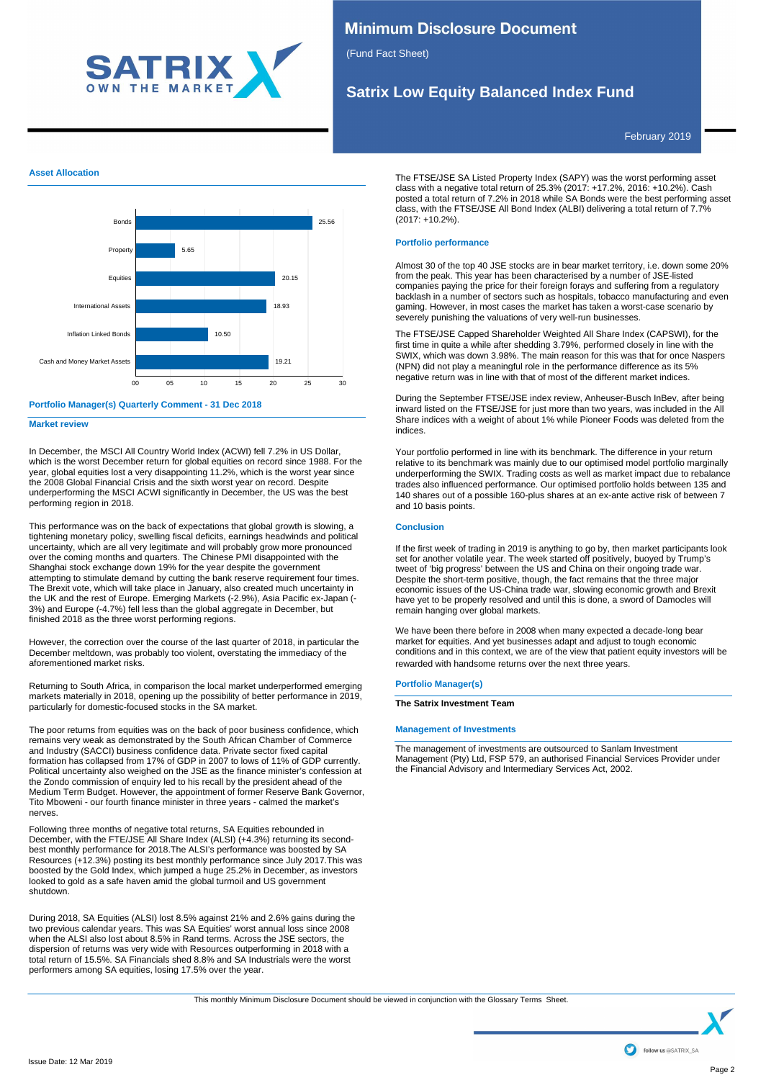

# **Minimum Disclosure Document**

(Fund Fact Sheet)

# **Satrix Low Equity Balanced Index Fund**

February 2019

# **Asset Allocation**



# **Portfolio Manager(s) Quarterly Comment - 31 Dec 2018**

**Market review**

In December, the MSCI All Country World Index (ACWI) fell 7.2% in US Dollar, which is the worst December return for global equities on record since 1988. For the year, global equities lost a very disappointing 11.2%, which is the worst year since the 2008 Global Financial Crisis and the sixth worst year on record. Despite underperforming the MSCI ACWI significantly in December, the US was the best performing region in 2018.

This performance was on the back of expectations that global growth is slowing, a tightening monetary policy, swelling fiscal deficits, earnings headwinds and political uncertainty, which are all very legitimate and will probably grow more pronounced over the coming months and quarters. The Chinese PMI disappointed with the Shanghai stock exchange down 19% for the year despite the government attempting to stimulate demand by cutting the bank reserve requirement four times. The Brexit vote, which will take place in January, also created much uncertainty in the UK and the rest of Europe. Emerging Markets (-2.9%), Asia Pacific ex-Japan (- 3%) and Europe (-4.7%) fell less than the global aggregate in December, but finished 2018 as the three worst performing regions.

However, the correction over the course of the last quarter of 2018, in particular the December meltdown, was probably too violent, overstating the immediacy of the aforementioned market risks.

Returning to South Africa, in comparison the local market underperformed emerging markets materially in 2018, opening up the possibility of better performance in 2019, particularly for domestic-focused stocks in the SA market.

The poor returns from equities was on the back of poor business confidence, which remains very weak as demonstrated by the South African Chamber of Commerce and Industry (SACCI) business confidence data. Private sector fixed capital formation has collapsed from 17% of GDP in 2007 to lows of 11% of GDP currently. Political uncertainty also weighed on the JSE as the finance minister's confession at the Zondo commission of enquiry led to his recall by the president ahead of the Medium Term Budget. However, the appointment of former Reserve Bank Governor, Tito Mboweni - our fourth finance minister in three years - calmed the market's nerves.

Following three months of negative total returns, SA Equities rebounded in December, with the FTE/JSE All Share Index (ALSI) (+4.3%) returning its secondbest monthly performance for 2018.The ALSI's performance was boosted by SA Resources (+12.3%) posting its best monthly performance since July 2017.This was boosted by the Gold Index, which jumped a huge 25.2% in December, as investors looked to gold as a safe haven amid the global turmoil and US government shutdown.

During 2018, SA Equities (ALSI) lost 8.5% against 21% and 2.6% gains during the two previous calendar years. This was SA Equities' worst annual loss since 2008 when the ALSI also lost about 8.5% in Rand terms. Across the JSE sectors, the dispersion of returns was very wide with Resources outperforming in 2018 with a total return of 15.5%. SA Financials shed 8.8% and SA Industrials were the worst performers among SA equities, losing 17.5% over the year.

The FTSE/JSE SA Listed Property Index (SAPY) was the worst performing asset class with a negative total return of 25.3% (2017: +17.2%, 2016: +10.2%). Cash posted a total return of 7.2% in 2018 while SA Bonds were the best performing asset class, with the FTSE/JSE All Bond Index (ALBI) delivering a total return of 7.7% (2017: +10.2%).

# **Portfolio performance**

Almost 30 of the top 40 JSE stocks are in bear market territory, i.e. down some 20% from the peak. This year has been characterised by a number of JSE-listed companies paying the price for their foreign forays and suffering from a regulatory backlash in a number of sectors such as hospitals, tobacco manufacturing and even gaming. However, in most cases the market has taken a worst-case scenario by severely punishing the valuations of very well-run businesses.

The FTSE/JSE Capped Shareholder Weighted All Share Index (CAPSWI), for the first time in quite a while after shedding 3.79%, performed closely in line with the SWIX, which was down 3.98%. The main reason for this was that for once Naspers (NPN) did not play a meaningful role in the performance difference as its 5% negative return was in line with that of most of the different market indices.

During the September FTSE/JSE index review, Anheuser-Busch InBev, after being inward listed on the FTSE/JSE for just more than two years, was included in the All Share indices with a weight of about 1% while Pioneer Foods was deleted from the indices.

Your portfolio performed in line with its benchmark. The difference in your return relative to its benchmark was mainly due to our optimised model portfolio marginally underperforming the SWIX. Trading costs as well as market impact due to rebalance trades also influenced performance. Our optimised portfolio holds between 135 and 140 shares out of a possible 160-plus shares at an ex-ante active risk of between 7 and 10 basis points.

### **Conclusion**

If the first week of trading in 2019 is anything to go by, then market participants look set for another volatile year. The week started off positively, buoyed by Trump's tweet of 'big progress' between the US and China on their ongoing trade war. Despite the short-term positive, though, the fact remains that the three major economic issues of the US-China trade war, slowing economic growth and Brexit have yet to be properly resolved and until this is done, a sword of Damocles will remain hanging over global markets.

We have been there before in 2008 when many expected a decade-long bear market for equities. And yet businesses adapt and adjust to tough economic conditions and in this context, we are of the view that patient equity investors will be rewarded with handsome returns over the next three years.

### **Portfolio Manager(s)**

#### **The Satrix Investment Team**

**Management of Investments**

The management of investments are outsourced to Sanlam Investment Management (Pty) Ltd, FSP 579, an authorised Financial Services Provider under the Financial Advisory and Intermediary Services Act, 2002.

This monthly Minimum Disclosure Document should be viewed in conjunction with the Glossary Terms Sheet.